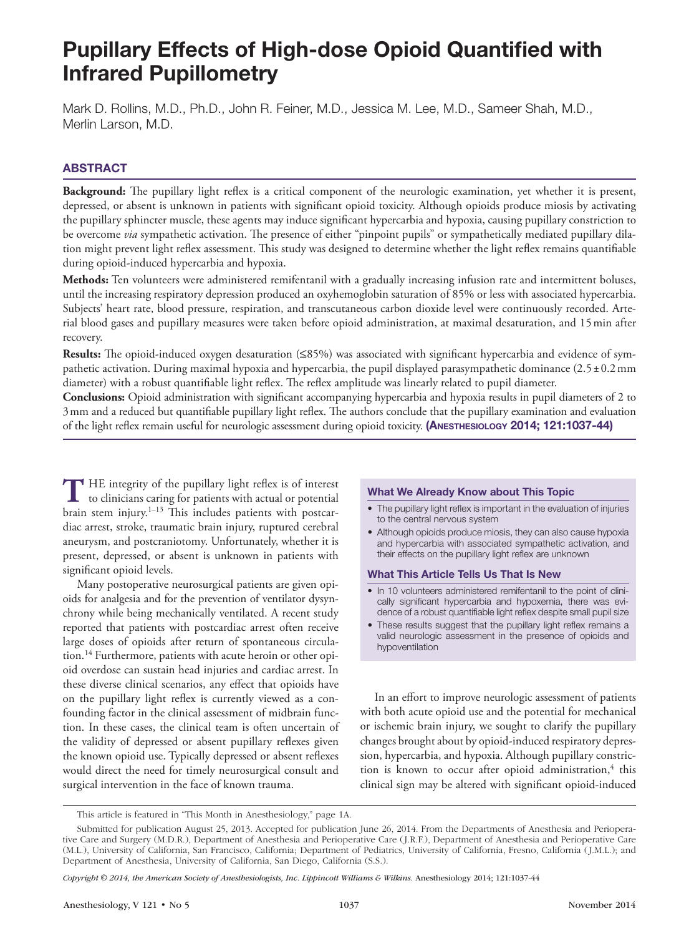# Pupillary Effects of High-dose Opioid Quantified with Infrared Pupillometry

Mark D. Rollins, M.D., Ph.D., John R. Feiner, M.D., Jessica M. Lee, M.D., Sameer Shah, M.D., Merlin Larson, M.D.

# ABSTRACT

**Background:** The pupillary light reflex is a critical component of the neurologic examination, yet whether it is present, depressed, or absent is unknown in patients with significant opioid toxicity. Although opioids produce miosis by activating the pupillary sphincter muscle, these agents may induce significant hypercarbia and hypoxia, causing pupillary constriction to be overcome *via* sympathetic activation. The presence of either "pinpoint pupils" or sympathetically mediated pupillary dilation might prevent light reflex assessment. This study was designed to determine whether the light reflex remains quantifiable during opioid-induced hypercarbia and hypoxia.

**Methods:** Ten volunteers were administered remifentanil with a gradually increasing infusion rate and intermittent boluses, until the increasing respiratory depression produced an oxyhemoglobin saturation of 85% or less with associated hypercarbia. Subjects' heart rate, blood pressure, respiration, and transcutaneous carbon dioxide level were continuously recorded. Arterial blood gases and pupillary measures were taken before opioid administration, at maximal desaturation, and 15min after recovery.

**Results:** The opioid-induced oxygen desaturation (≤85%) was associated with significant hypercarbia and evidence of sympathetic activation. During maximal hypoxia and hypercarbia, the pupil displayed parasympathetic dominance (2.5 ±0.2mm diameter) with a robust quantifiable light reflex. The reflex amplitude was linearly related to pupil diameter.

**Conclusions:** Opioid administration with significant accompanying hypercarbia and hypoxia results in pupil diameters of 2 to 3mm and a reduced but quantifiable pupillary light reflex. The authors conclude that the pupillary examination and evaluation of the light reflex remain useful for neurologic assessment during opioid toxicity. **(Anesthesiology 2014; 121:1037-44)**

THE integrity of the pupillary light reflex is of interest to clinicians caring for patients with actual or potential brain stem injury. $1-13$  This includes patients with postcardiac arrest, stroke, traumatic brain injury, ruptured cerebral aneurysm, and postcraniotomy. Unfortunately, whether it is present, depressed, or absent is unknown in patients with significant opioid levels.

Many postoperative neurosurgical patients are given opioids for analgesia and for the prevention of ventilator dysynchrony while being mechanically ventilated. A recent study reported that patients with postcardiac arrest often receive large doses of opioids after return of spontaneous circulation.14 Furthermore, patients with acute heroin or other opioid overdose can sustain head injuries and cardiac arrest. In these diverse clinical scenarios, any effect that opioids have on the pupillary light reflex is currently viewed as a confounding factor in the clinical assessment of midbrain function. In these cases, the clinical team is often uncertain of the validity of depressed or absent pupillary reflexes given the known opioid use. Typically depressed or absent reflexes would direct the need for timely neurosurgical consult and surgical intervention in the face of known trauma.

### What We Already Know about This Topic

- The pupillary light reflex is important in the evaluation of injuries to the central nervous system
- Although opioids produce miosis, they can also cause hypoxia and hypercarbia with associated sympathetic activation, and their effects on the pupillary light reflex are unknown

### What This Article Tells Us That Is New

- In 10 volunteers administered remifentanil to the point of clinically significant hypercarbia and hypoxemia, there was evidence of a robust quantifiable light reflex despite small pupil size
- These results suggest that the pupillary light reflex remains a valid neurologic assessment in the presence of opioids and hypoventilation

In an effort to improve neurologic assessment of patients with both acute opioid use and the potential for mechanical or ischemic brain injury, we sought to clarify the pupillary changes brought about by opioid-induced respiratory depression, hypercarbia, and hypoxia. Although pupillary constriction is known to occur after opioid administration,<sup>4</sup> this clinical sign may be altered with significant opioid-induced

*Copyright © 2014, the American Society of Anesthesiologists, Inc. Lippincott Williams & Wilkins.* Anesthesiology 2014; 121:1037-44

This article is featured in "This Month in Anesthesiology," page 1A.

Submitted for publication August 25, 2013. Accepted for publication June 26, 2014. From the Departments of Anesthesia and Perioperative Care and Surgery (M.D.R.), Department of Anesthesia and Perioperative Care (J.R.F.), Department of Anesthesia and Perioperative Care (M.L.), University of California, San Francisco, California; Department of Pediatrics, University of California, Fresno, California (J.M.L.); and Department of Anesthesia, University of California, San Diego, California (S.S.).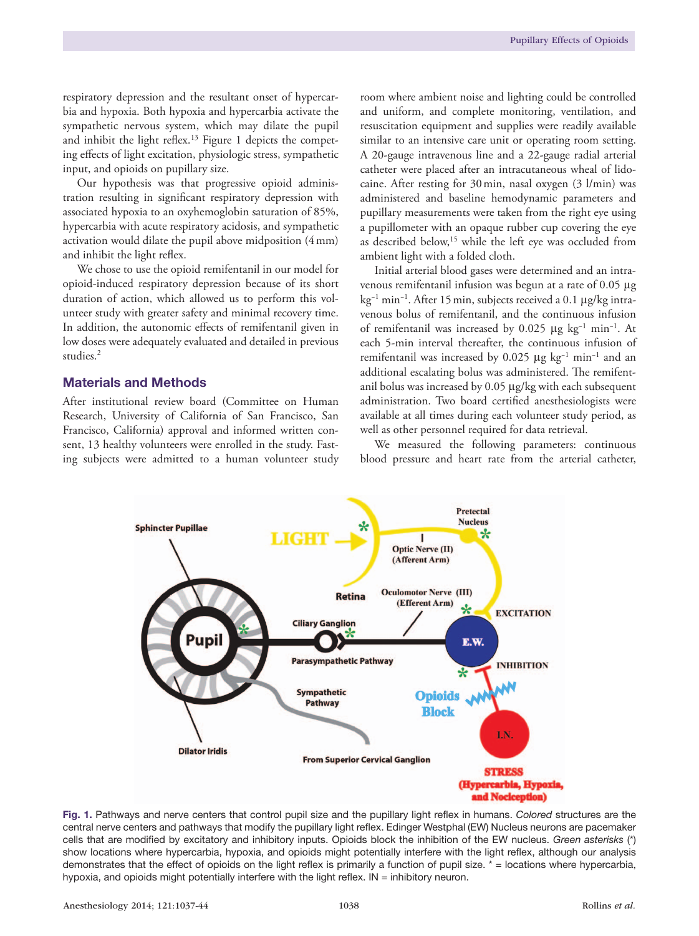respiratory depression and the resultant onset of hypercarbia and hypoxia. Both hypoxia and hypercarbia activate the sympathetic nervous system, which may dilate the pupil and inhibit the light reflex.<sup>13</sup> Figure 1 depicts the competing effects of light excitation, physiologic stress, sympathetic input, and opioids on pupillary size.

Our hypothesis was that progressive opioid administration resulting in significant respiratory depression with associated hypoxia to an oxyhemoglobin saturation of 85%, hypercarbia with acute respiratory acidosis, and sympathetic activation would dilate the pupil above midposition (4mm) and inhibit the light reflex.

We chose to use the opioid remifentanil in our model for opioid-induced respiratory depression because of its short duration of action, which allowed us to perform this volunteer study with greater safety and minimal recovery time. In addition, the autonomic effects of remifentanil given in low doses were adequately evaluated and detailed in previous studies.<sup>2</sup>

## Materials and Methods

After institutional review board (Committee on Human Research, University of California of San Francisco, San Francisco, California) approval and informed written consent, 13 healthy volunteers were enrolled in the study. Fasting subjects were admitted to a human volunteer study

room where ambient noise and lighting could be controlled and uniform, and complete monitoring, ventilation, and resuscitation equipment and supplies were readily available similar to an intensive care unit or operating room setting. A 20-gauge intravenous line and a 22-gauge radial arterial catheter were placed after an intracutaneous wheal of lidocaine. After resting for 30min, nasal oxygen (3 l/min) was administered and baseline hemodynamic parameters and pupillary measurements were taken from the right eye using a pupillometer with an opaque rubber cup covering the eye as described below,<sup>15</sup> while the left eye was occluded from ambient light with a folded cloth.

Initial arterial blood gases were determined and an intravenous remifentanil infusion was begun at a rate of 0.05 μg kg−1 min−1. After 15min, subjects received a 0.1 μg/kg intravenous bolus of remifentanil, and the continuous infusion of remifentanil was increased by 0.025 μg kg−1 min−1. At each 5-min interval thereafter, the continuous infusion of remifentanil was increased by 0.025 μg kg<sup>-1</sup> min<sup>-1</sup> and an additional escalating bolus was administered. The remifentanil bolus was increased by 0.05 μg/kg with each subsequent administration. Two board certified anesthesiologists were available at all times during each volunteer study period, as well as other personnel required for data retrieval.

We measured the following parameters: continuous blood pressure and heart rate from the arterial catheter,



Fig. 1. Pathways and nerve centers that control pupil size and the pupillary light reflex in humans. *Colored* structures are the central nerve centers and pathways that modify the pupillary light reflex. Edinger Westphal (EW) Nucleus neurons are pacemaker cells that are modified by excitatory and inhibitory inputs. Opioids block the inhibition of the EW nucleus. *Green asterisks* (\*) show locations where hypercarbia, hypoxia, and opioids might potentially interfere with the light reflex, although our analysis demonstrates that the effect of opioids on the light reflex is primarily a function of pupil size. \* = locations where hypercarbia, hypoxia, and opioids might potentially interfere with the light reflex. IN = inhibitory neuron.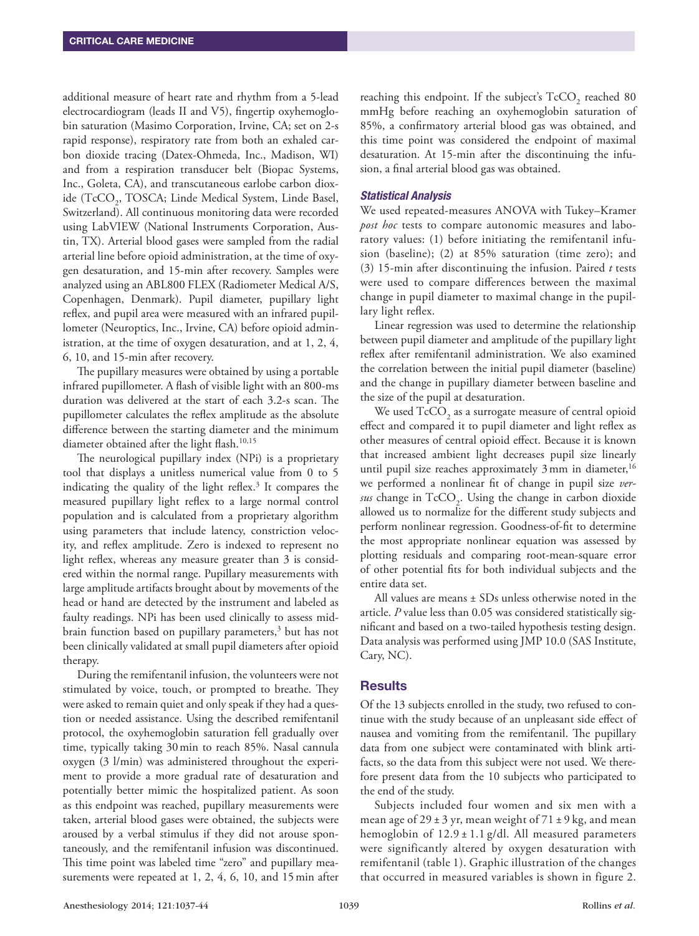additional measure of heart rate and rhythm from a 5-lead electrocardiogram (leads II and V5), fingertip oxyhemoglobin saturation (Masimo Corporation, Irvine, CA; set on 2-s rapid response), respiratory rate from both an exhaled carbon dioxide tracing (Datex-Ohmeda, Inc., Madison, WI) and from a respiration transducer belt (Biopac Systems, Inc., Goleta, CA), and transcutaneous earlobe carbon dioxide (TcCO<sub>2</sub>, TOSCA; Linde Medical System, Linde Basel, Switzerland). All continuous monitoring data were recorded using LabVIEW (National Instruments Corporation, Austin, TX). Arterial blood gases were sampled from the radial arterial line before opioid administration, at the time of oxygen desaturation, and 15-min after recovery. Samples were analyzed using an ABL800 FLEX (Radiometer Medical A/S, Copenhagen, Denmark). Pupil diameter, pupillary light reflex, and pupil area were measured with an infrared pupillometer (Neuroptics, Inc., Irvine, CA) before opioid administration, at the time of oxygen desaturation, and at 1, 2, 4, 6, 10, and 15-min after recovery.

The pupillary measures were obtained by using a portable infrared pupillometer. A flash of visible light with an 800-ms duration was delivered at the start of each 3.2-s scan. The pupillometer calculates the reflex amplitude as the absolute difference between the starting diameter and the minimum diameter obtained after the light flash.<sup>10,15</sup>

The neurological pupillary index (NPi) is a proprietary tool that displays a unitless numerical value from 0 to 5 indicating the quality of the light reflex.<sup>3</sup> It compares the measured pupillary light reflex to a large normal control population and is calculated from a proprietary algorithm using parameters that include latency, constriction velocity, and reflex amplitude. Zero is indexed to represent no light reflex, whereas any measure greater than 3 is considered within the normal range. Pupillary measurements with large amplitude artifacts brought about by movements of the head or hand are detected by the instrument and labeled as faulty readings. NPi has been used clinically to assess midbrain function based on pupillary parameters,<sup>3</sup> but has not been clinically validated at small pupil diameters after opioid therapy.

During the remifentanil infusion, the volunteers were not stimulated by voice, touch, or prompted to breathe. They were asked to remain quiet and only speak if they had a question or needed assistance. Using the described remifentanil protocol, the oxyhemoglobin saturation fell gradually over time, typically taking 30min to reach 85%. Nasal cannula oxygen (3 l/min) was administered throughout the experiment to provide a more gradual rate of desaturation and potentially better mimic the hospitalized patient. As soon as this endpoint was reached, pupillary measurements were taken, arterial blood gases were obtained, the subjects were aroused by a verbal stimulus if they did not arouse spontaneously, and the remifentanil infusion was discontinued. This time point was labeled time "zero" and pupillary measurements were repeated at 1, 2, 4, 6, 10, and 15min after

reaching this endpoint. If the subject's  $\mathrm{TcCO}_{2}$  reached 80 mmHg before reaching an oxyhemoglobin saturation of 85%, a confirmatory arterial blood gas was obtained, and this time point was considered the endpoint of maximal desaturation. At 15-min after the discontinuing the infusion, a final arterial blood gas was obtained.

#### *Statistical Analysis*

We used repeated-measures ANOVA with Tukey–Kramer *post hoc* tests to compare autonomic measures and laboratory values: (1) before initiating the remifentanil infusion (baseline); (2) at 85% saturation (time zero); and (3) 15-min after discontinuing the infusion. Paired *t* tests were used to compare differences between the maximal change in pupil diameter to maximal change in the pupillary light reflex.

Linear regression was used to determine the relationship between pupil diameter and amplitude of the pupillary light reflex after remifentanil administration. We also examined the correlation between the initial pupil diameter (baseline) and the change in pupillary diameter between baseline and the size of the pupil at desaturation.

We used  $\mathrm{TcCO}_{2}$  as a surrogate measure of central opioid effect and compared it to pupil diameter and light reflex as other measures of central opioid effect. Because it is known that increased ambient light decreases pupil size linearly until pupil size reaches approximately  $3 \text{ mm}$  in diameter,<sup>16</sup> we performed a nonlinear fit of change in pupil size *ver*sus change in TcCO<sub>2</sub>. Using the change in carbon dioxide allowed us to normalize for the different study subjects and perform nonlinear regression. Goodness-of-fit to determine the most appropriate nonlinear equation was assessed by plotting residuals and comparing root-mean-square error of other potential fits for both individual subjects and the entire data set.

All values are means ± SDs unless otherwise noted in the article. *P* value less than 0.05 was considered statistically significant and based on a two-tailed hypothesis testing design. Data analysis was performed using JMP 10.0 (SAS Institute, Cary, NC).

#### **Results**

Of the 13 subjects enrolled in the study, two refused to continue with the study because of an unpleasant side effect of nausea and vomiting from the remifentanil. The pupillary data from one subject were contaminated with blink artifacts, so the data from this subject were not used. We therefore present data from the 10 subjects who participated to the end of the study.

Subjects included four women and six men with a mean age of  $29 \pm 3$  yr, mean weight of  $71 \pm 9$  kg, and mean hemoglobin of  $12.9 \pm 1.1$  g/dl. All measured parameters were significantly altered by oxygen desaturation with remifentanil (table 1). Graphic illustration of the changes that occurred in measured variables is shown in figure 2.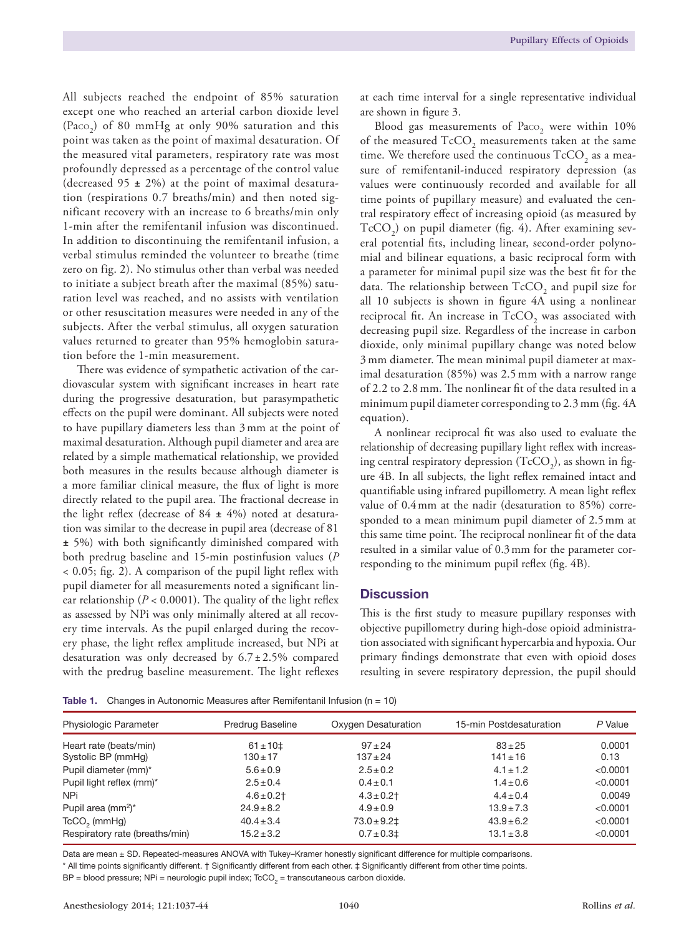All subjects reached the endpoint of 85% saturation except one who reached an arterial carbon dioxide level (Paco<sub>2</sub>) of 80 mmHg at only 90% saturation and this point was taken as the point of maximal desaturation. Of the measured vital parameters, respiratory rate was most profoundly depressed as a percentage of the control value (decreased 95 **±** 2%) at the point of maximal desaturation (respirations 0.7 breaths/min) and then noted significant recovery with an increase to 6 breaths/min only 1-min after the remifentanil infusion was discontinued. In addition to discontinuing the remifentanil infusion, a verbal stimulus reminded the volunteer to breathe (time zero on fig. 2). No stimulus other than verbal was needed to initiate a subject breath after the maximal (85%) saturation level was reached, and no assists with ventilation or other resuscitation measures were needed in any of the subjects. After the verbal stimulus, all oxygen saturation values returned to greater than 95% hemoglobin saturation before the 1-min measurement.

There was evidence of sympathetic activation of the cardiovascular system with significant increases in heart rate during the progressive desaturation, but parasympathetic effects on the pupil were dominant. All subjects were noted to have pupillary diameters less than 3mm at the point of maximal desaturation. Although pupil diameter and area are related by a simple mathematical relationship, we provided both measures in the results because although diameter is a more familiar clinical measure, the flux of light is more directly related to the pupil area. The fractional decrease in the light reflex (decrease of 84 **±** 4%) noted at desaturation was similar to the decrease in pupil area (decrease of 81 **±** 5%) with both significantly diminished compared with both predrug baseline and 15-min postinfusion values (*P* < 0.05; fig. 2). A comparison of the pupil light reflex with pupil diameter for all measurements noted a significant linear relationship ( $P < 0.0001$ ). The quality of the light reflex as assessed by NPi was only minimally altered at all recovery time intervals. As the pupil enlarged during the recovery phase, the light reflex amplitude increased, but NPi at desaturation was only decreased by  $6.7 \pm 2.5\%$  compared with the predrug baseline measurement. The light reflexes

at each time interval for a single representative individual are shown in figure 3.

Blood gas measurements of Paco<sub>2</sub> were within  $10\%$ of the measured  $TcCO$ , measurements taken at the same time. We therefore used the continuous  $TcCO<sub>2</sub>$  as a measure of remifentanil-induced respiratory depression (as values were continuously recorded and available for all time points of pupillary measure) and evaluated the central respiratory effect of increasing opioid (as measured by  $TcCO<sub>2</sub>$ ) on pupil diameter (fig. 4). After examining several potential fits, including linear, second-order polynomial and bilinear equations, a basic reciprocal form with a parameter for minimal pupil size was the best fit for the data. The relationship between  $TcCO<sub>2</sub>$  and pupil size for all 10 subjects is shown in figure 4A using a nonlinear reciprocal fit. An increase in TcCO<sub>2</sub> was associated with decreasing pupil size. Regardless of the increase in carbon dioxide, only minimal pupillary change was noted below 3mm diameter. The mean minimal pupil diameter at maximal desaturation (85%) was 2.5mm with a narrow range of 2.2 to 2.8mm. The nonlinear fit of the data resulted in a minimum pupil diameter corresponding to 2.3mm (fig. 4A equation).

A nonlinear reciprocal fit was also used to evaluate the relationship of decreasing pupillary light reflex with increasing central respiratory depression  $(TcCO<sub>2</sub>)$ , as shown in figure 4B. In all subjects, the light reflex remained intact and quantifiable using infrared pupillometry. A mean light reflex value of 0.4mm at the nadir (desaturation to 85%) corresponded to a mean minimum pupil diameter of 2.5mm at this same time point. The reciprocal nonlinear fit of the data resulted in a similar value of 0.3mm for the parameter corresponding to the minimum pupil reflex (fig. 4B).

### **Discussion**

This is the first study to measure pupillary responses with objective pupillometry during high-dose opioid administration associated with significant hypercarbia and hypoxia. Our primary findings demonstrate that even with opioid doses resulting in severe respiratory depression, the pupil should

Table 1. Changes in Autonomic Measures after Remifentanil Infusion ( $n = 10$ )

| Physiologic Parameter          | Predrug Baseline | Oxygen Desaturation | 15-min Postdesaturation | P Value  |
|--------------------------------|------------------|---------------------|-------------------------|----------|
| Heart rate (beats/min)         | $61 \pm 10$      | $97 + 24$           | $83 + 25$               | 0.0001   |
| Systolic BP (mmHg)             | $130 \pm 17$     | $137 + 24$          | $141 \pm 16$            | 0.13     |
| Pupil diameter (mm)*           | $5.6 \pm 0.9$    | $2.5 \pm 0.2$       | $4.1 \pm 1.2$           | < 0.0001 |
| Pupil light reflex (mm)*       | $2.5 \pm 0.4$    | $0.4 \pm 0.1$       | $1.4 \pm 0.6$           | < 0.0001 |
| <b>NPi</b>                     | $4.6 \pm 0.2$ †  | $4.3 \pm 0.2$       | $4.4 \pm 0.4$           | 0.0049   |
| Pupil area $(mm^2)^*$          | $24.9 \pm 8.2$   | $4.9 \pm 0.9$       | $13.9 \pm 7.3$          | < 0.0001 |
| $TcCO2$ (mmHg)                 | $40.4 \pm 3.4$   | $73.0 \pm 9.2$      | $43.9 \pm 6.2$          | < 0.0001 |
| Respiratory rate (breaths/min) | $15.2 \pm 3.2$   | $0.7 \pm 0.3$ ‡     | $13.1 \pm 3.8$          | < 0.0001 |

Data are mean ± SD. Repeated-measures ANOVA with Tukey–Kramer honestly significant difference for multiple comparisons.

\* All time points significantly different. † Significantly different from each other. ‡ Significantly different from other time points.

 $BP = blood pressure$ ; NPi = neurologic pupil index; TcCO<sub>2</sub> = transcutaneous carbon dioxide.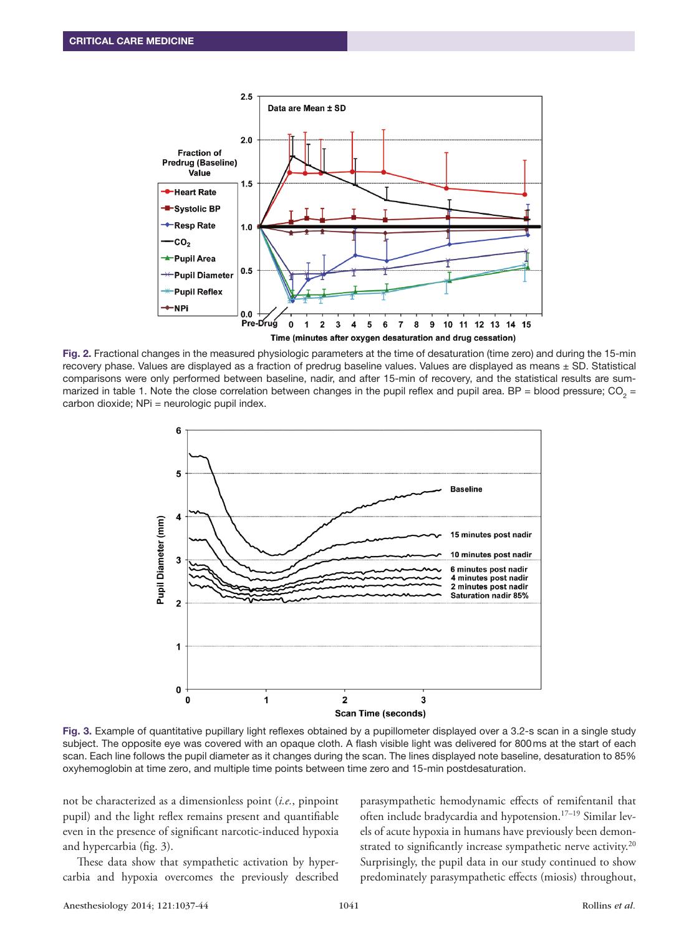

Fig. 2. Fractional changes in the measured physiologic parameters at the time of desaturation (time zero) and during the 15-min recovery phase. Values are displayed as a fraction of predrug baseline values. Values are displayed as means ± SD. Statistical comparisons were only performed between baseline, nadir, and after 15-min of recovery, and the statistical results are summarized in table 1. Note the close correlation between changes in the pupil reflex and pupil area. BP = blood pressure;  $CO<sub>2</sub>$  = carbon dioxide; NPi = neurologic pupil index.



Fig. 3. Example of quantitative pupillary light reflexes obtained by a pupillometer displayed over a 3.2-s scan in a single study subject. The opposite eye was covered with an opaque cloth. A flash visible light was delivered for 800ms at the start of each scan. Each line follows the pupil diameter as it changes during the scan. The lines displayed note baseline, desaturation to 85% oxyhemoglobin at time zero, and multiple time points between time zero and 15-min postdesaturation.

not be characterized as a dimensionless point (*i.e.*, pinpoint pupil) and the light reflex remains present and quantifiable even in the presence of significant narcotic-induced hypoxia and hypercarbia (fig. 3).

These data show that sympathetic activation by hypercarbia and hypoxia overcomes the previously described

parasympathetic hemodynamic effects of remifentanil that often include bradycardia and hypotension.17–19 Similar levels of acute hypoxia in humans have previously been demonstrated to significantly increase sympathetic nerve activity.<sup>20</sup> Surprisingly, the pupil data in our study continued to show predominately parasympathetic effects (miosis) throughout,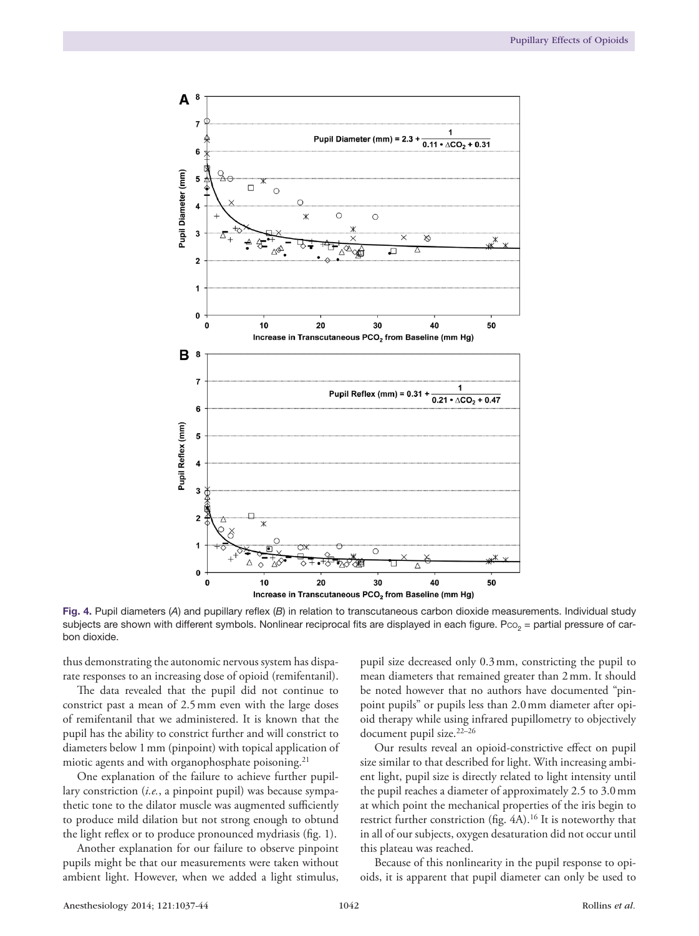

Fig. 4. Pupil diameters (*A*) and pupillary reflex (*B*) in relation to transcutaneous carbon dioxide measurements. Individual study subjects are shown with different symbols. Nonlinear reciprocal fits are displayed in each figure. Pco<sub>2</sub> = partial pressure of carbon dioxide.

thus demonstrating the autonomic nervous system has disparate responses to an increasing dose of opioid (remifentanil).

The data revealed that the pupil did not continue to constrict past a mean of 2.5mm even with the large doses of remifentanil that we administered. It is known that the pupil has the ability to constrict further and will constrict to diameters below 1mm (pinpoint) with topical application of miotic agents and with organophosphate poisoning.<sup>21</sup>

One explanation of the failure to achieve further pupillary constriction (*i.e.*, a pinpoint pupil) was because sympathetic tone to the dilator muscle was augmented sufficiently to produce mild dilation but not strong enough to obtund the light reflex or to produce pronounced mydriasis (fig. 1).

Another explanation for our failure to observe pinpoint pupils might be that our measurements were taken without ambient light. However, when we added a light stimulus,

pupil size decreased only 0.3mm, constricting the pupil to mean diameters that remained greater than 2mm. It should be noted however that no authors have documented "pinpoint pupils" or pupils less than 2.0mm diameter after opioid therapy while using infrared pupillometry to objectively document pupil size.<sup>22-26</sup>

Our results reveal an opioid-constrictive effect on pupil size similar to that described for light. With increasing ambient light, pupil size is directly related to light intensity until the pupil reaches a diameter of approximately 2.5 to 3.0mm at which point the mechanical properties of the iris begin to restrict further constriction (fig. 4A).<sup>16</sup> It is noteworthy that in all of our subjects, oxygen desaturation did not occur until this plateau was reached.

Because of this nonlinearity in the pupil response to opioids, it is apparent that pupil diameter can only be used to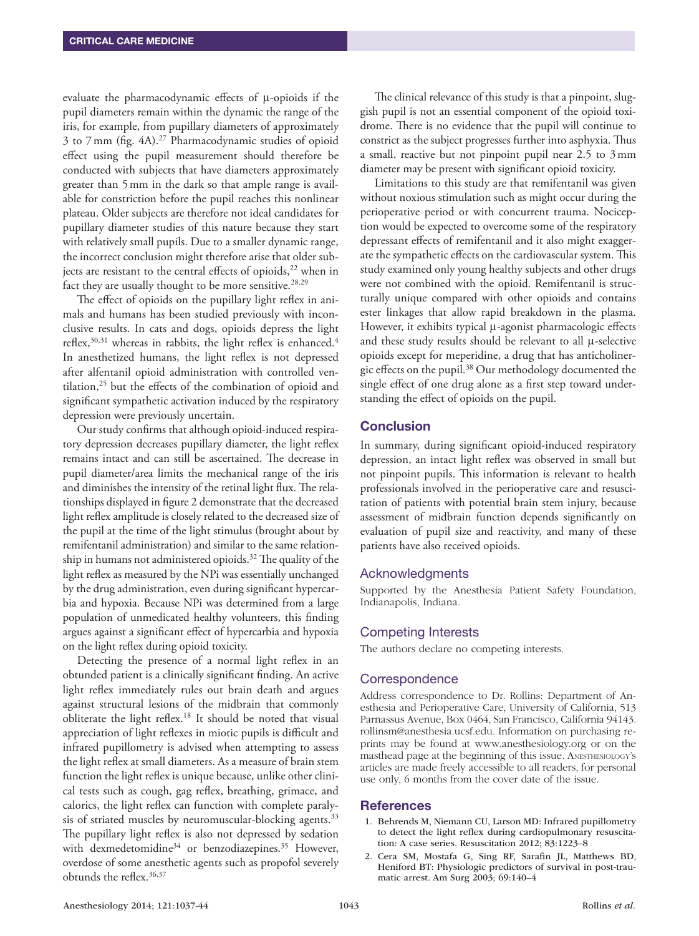evaluate the pharmacodynamic effects of μ-opioids if the pupil diameters remain within the dynamic the range of the iris, for example, from pupillary diameters of approximately 3 to 7mm (fig. 4A).27 Pharmacodynamic studies of opioid effect using the pupil measurement should therefore be conducted with subjects that have diameters approximately greater than 5mm in the dark so that ample range is available for constriction before the pupil reaches this nonlinear plateau. Older subjects are therefore not ideal candidates for pupillary diameter studies of this nature because they start with relatively small pupils. Due to a smaller dynamic range, the incorrect conclusion might therefore arise that older subjects are resistant to the central effects of opioids, $^{22}$  when in fact they are usually thought to be more sensitive.<sup>28,29</sup>

The effect of opioids on the pupillary light reflex in animals and humans has been studied previously with inconclusive results. In cats and dogs, opioids depress the light reflex,<sup>30,31</sup> whereas in rabbits, the light reflex is enhanced.<sup>4</sup> In anesthetized humans, the light reflex is not depressed after alfentanil opioid administration with controlled ventilation,25 but the effects of the combination of opioid and significant sympathetic activation induced by the respiratory depression were previously uncertain.

Our study confirms that although opioid-induced respiratory depression decreases pupillary diameter, the light reflex remains intact and can still be ascertained. The decrease in pupil diameter/area limits the mechanical range of the iris and diminishes the intensity of the retinal light flux. The relationships displayed in figure 2 demonstrate that the decreased light reflex amplitude is closely related to the decreased size of the pupil at the time of the light stimulus (brought about by remifentanil administration) and similar to the same relationship in humans not administered opioids.<sup>32</sup> The quality of the light reflex as measured by the NPi was essentially unchanged by the drug administration, even during significant hypercarbia and hypoxia. Because NPi was determined from a large population of unmedicated healthy volunteers, this finding argues against a significant effect of hypercarbia and hypoxia on the light reflex during opioid toxicity.

Detecting the presence of a normal light reflex in an obtunded patient is a clinically significant finding. An active light reflex immediately rules out brain death and argues against structural lesions of the midbrain that commonly obliterate the light reflex.<sup>18</sup> It should be noted that visual appreciation of light reflexes in miotic pupils is difficult and infrared pupillometry is advised when attempting to assess the light reflex at small diameters. As a measure of brain stem function the light reflex is unique because, unlike other clinical tests such as cough, gag reflex, breathing, grimace, and calorics, the light reflex can function with complete paralysis of striated muscles by neuromuscular-blocking agents. $33$ The pupillary light reflex is also not depressed by sedation with dexmedetomidine<sup>34</sup> or benzodiazepines.<sup>35</sup> However, overdose of some anesthetic agents such as propofol severely obtunds the reflex.36,37

The clinical relevance of this study is that a pinpoint, sluggish pupil is not an essential component of the opioid toxidrome. There is no evidence that the pupil will continue to constrict as the subject progresses further into asphyxia. Thus a small, reactive but not pinpoint pupil near 2.5 to 3mm diameter may be present with significant opioid toxicity.

Limitations to this study are that remifentanil was given without noxious stimulation such as might occur during the perioperative period or with concurrent trauma. Nociception would be expected to overcome some of the respiratory depressant effects of remifentanil and it also might exaggerate the sympathetic effects on the cardiovascular system. This study examined only young healthy subjects and other drugs were not combined with the opioid. Remifentanil is structurally unique compared with other opioids and contains ester linkages that allow rapid breakdown in the plasma. However, it exhibits typical μ-agonist pharmacologic effects and these study results should be relevant to all μ-selective opioids except for meperidine, a drug that has anticholinergic effects on the pupil.<sup>38</sup> Our methodology documented the single effect of one drug alone as a first step toward understanding the effect of opioids on the pupil.

## Conclusion

In summary, during significant opioid-induced respiratory depression, an intact light reflex was observed in small but not pinpoint pupils. This information is relevant to health professionals involved in the perioperative care and resuscitation of patients with potential brain stem injury, because assessment of midbrain function depends significantly on evaluation of pupil size and reactivity, and many of these patients have also received opioids.

# Acknowledgments

Supported by the Anesthesia Patient Safety Foundation, Indianapolis, Indiana.

#### Competing Interests

The authors declare no competing interests.

#### **Correspondence**

Address correspondence to Dr. Rollins: Department of Anesthesia and Perioperative Care, University of California, 513 Parnassus Avenue, Box 0464, San Francisco, California 94143. [rollinsm@anesthesia.ucsf.edu.](mailto:rollinsm@anesthesia.ucsf.edu) Information on purchasing reprints may be found at [www.anesthesiology.org](http://www.anesthesiology.org) or on the masthead page at the beginning of this issue. Anesthesiology's articles are made freely accessible to all readers, for personal use only, 6 months from the cover date of the issue.

#### **References**

- 1. Behrends M, Niemann CU, Larson MD: Infrared pupillometry to detect the light reflex during cardiopulmonary resuscitation: A case series. Resuscitation 2012; 83:1223–8
- 2. Cera SM, Mostafa G, Sing RF, Sarafin JL, Matthews BD, Heniford BT: Physiologic predictors of survival in post-traumatic arrest. Am Surg 2003; 69:140–4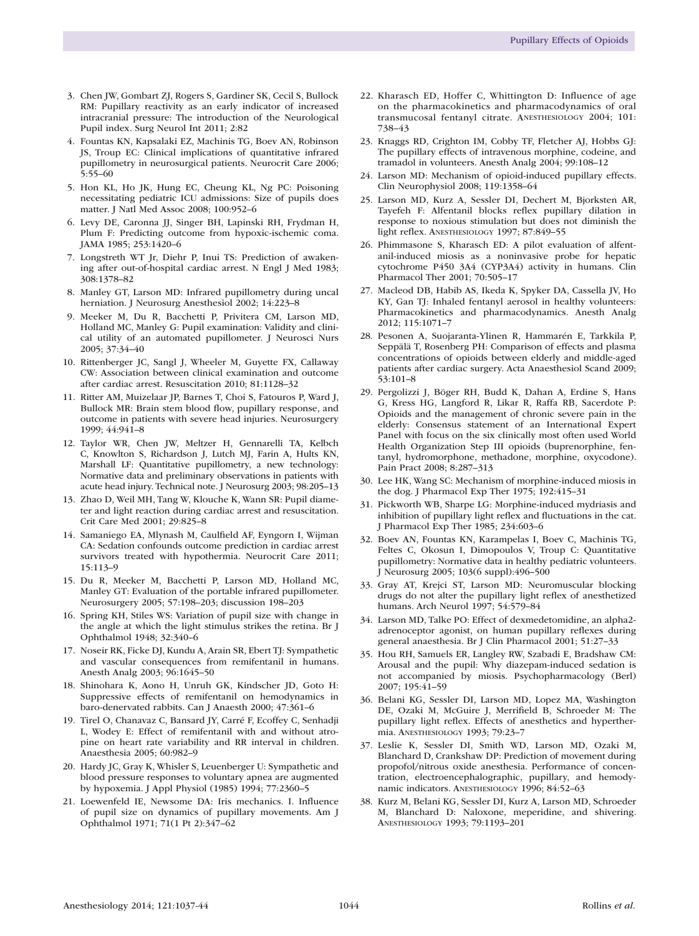- 3. Chen JW, Gombart ZJ, Rogers S, Gardiner SK, Cecil S, Bullock RM: Pupillary reactivity as an early indicator of increased intracranial pressure: The introduction of the Neurological Pupil index. Surg Neurol Int 2011; 2:82
- 4. Fountas KN, Kapsalaki EZ, Machinis TG, Boev AN, Robinson JS, Troup EC: Clinical implications of quantitative infrared pupillometry in neurosurgical patients. Neurocrit Care 2006; 5:55–60
- 5. Hon KL, Ho JK, Hung EC, Cheung KL, Ng PC: Poisoning necessitating pediatric ICU admissions: Size of pupils does matter. J Natl Med Assoc 2008; 100:952–6
- 6. Levy DE, Caronna JJ, Singer BH, Lapinski RH, Frydman H, Plum F: Predicting outcome from hypoxic-ischemic coma. JAMA 1985; 253:1420–6
- 7. Longstreth WT Jr, Diehr P, Inui TS: Prediction of awakening after out-of-hospital cardiac arrest. N Engl J Med 1983; 308:1378–82
- 8. Manley GT, Larson MD: Infrared pupillometry during uncal herniation. J Neurosurg Anesthesiol 2002; 14:223–8
- 9. Meeker M, Du R, Bacchetti P, Privitera CM, Larson MD, Holland MC, Manley G: Pupil examination: Validity and clinical utility of an automated pupillometer. J Neurosci Nurs 2005; 37:34–40
- 10. Rittenberger JC, Sangl J, Wheeler M, Guyette FX, Callaway CW: Association between clinical examination and outcome after cardiac arrest. Resuscitation 2010; 81:1128–32
- 11. Ritter AM, Muizelaar JP, Barnes T, Choi S, Fatouros P, Ward J, Bullock MR: Brain stem blood flow, pupillary response, and outcome in patients with severe head injuries. Neurosurgery 1999; 44:941–8
- 12. Taylor WR, Chen JW, Meltzer H, Gennarelli TA, Kelbch C, Knowlton S, Richardson J, Lutch MJ, Farin A, Hults KN, Marshall LF: Quantitative pupillometry, a new technology: Normative data and preliminary observations in patients with acute head injury. Technical note. J Neurosurg 2003; 98:205–13
- 13. Zhao D, Weil MH, Tang W, Klouche K, Wann SR: Pupil diameter and light reaction during cardiac arrest and resuscitation. Crit Care Med 2001; 29:825–8
- 14. Samaniego EA, Mlynash M, Caulfield AF, Eyngorn I, Wijman CA: Sedation confounds outcome prediction in cardiac arrest survivors treated with hypothermia. Neurocrit Care 2011;  $15:113-9$
- 15. Du R, Meeker M, Bacchetti P, Larson MD, Holland MC, Manley GT: Evaluation of the portable infrared pupillometer. Neurosurgery 2005; 57:198–203; discussion 198–203
- 16. Spring KH, Stiles WS: Variation of pupil size with change in the angle at which the light stimulus strikes the retina. Br J Ophthalmol 1948; 32:340–6
- 17. Noseir RK, Ficke DJ, Kundu A, Arain SR, Ebert TJ: Sympathetic and vascular consequences from remifentanil in humans. Anesth Analg 2003; 96:1645–50
- 18. Shinohara K, Aono H, Unruh GK, Kindscher JD, Goto H: Suppressive effects of remifentanil on hemodynamics in baro-denervated rabbits. Can J Anaesth 2000; 47:361–6
- 19. Tirel O, Chanavaz C, Bansard JY, Carré F, Ecoffey C, Senhadji L, Wodey E: Effect of remifentanil with and without atropine on heart rate variability and RR interval in children. Anaesthesia 2005; 60:982–9
- 20. Hardy JC, Gray K, Whisler S, Leuenberger U: Sympathetic and blood pressure responses to voluntary apnea are augmented by hypoxemia. J Appl Physiol (1985) 1994; 77:2360–5
- 21. Loewenfeld IE, Newsome DA: Iris mechanics. I. Influence of pupil size on dynamics of pupillary movements. Am J Ophthalmol 1971; 71(1 Pt 2):347–62
- 22. Kharasch ED, Hoffer C, Whittington D: Influence of age on the pharmacokinetics and pharmacodynamics of oral transmucosal fentanyl citrate. Anesthesiology 2004; 101: 738–43
- 23. Knaggs RD, Crighton IM, Cobby TF, Fletcher AJ, Hobbs GJ: The pupillary effects of intravenous morphine, codeine, and tramadol in volunteers. Anesth Analg 2004; 99:108–12
- 24. Larson MD: Mechanism of opioid-induced pupillary effects. Clin Neurophysiol 2008; 119:1358–64
- 25. Larson MD, Kurz A, Sessler DI, Dechert M, Bjorksten AR, Tayefeh F: Alfentanil blocks reflex pupillary dilation in response to noxious stimulation but does not diminish the light reflex. Anesthesiology 1997; 87:849–55
- 26. Phimmasone S, Kharasch ED: A pilot evaluation of alfentanil-induced miosis as a noninvasive probe for hepatic cytochrome P450 3A4 (CYP3A4) activity in humans. Clin Pharmacol Ther 2001; 70:505–17
- 27. Macleod DB, Habib AS, Ikeda K, Spyker DA, Cassella JV, Ho KY, Gan TJ: Inhaled fentanyl aerosol in healthy volunteers: Pharmacokinetics and pharmacodynamics. Anesth Analg 2012; 115:1071–7
- 28. Pesonen A, Suojaranta-Ylinen R, Hammarén E, Tarkkila P, Seppälä T, Rosenberg PH: Comparison of effects and plasma concentrations of opioids between elderly and middle-aged patients after cardiac surgery. Acta Anaesthesiol Scand 2009; 53:101–8
- 29. Pergolizzi J, Böger RH, Budd K, Dahan A, Erdine S, Hans G, Kress HG, Langford R, Likar R, Raffa RB, Sacerdote P: Opioids and the management of chronic severe pain in the elderly: Consensus statement of an International Expert Panel with focus on the six clinically most often used World Health Organization Step III opioids (buprenorphine, fentanyl, hydromorphone, methadone, morphine, oxycodone). Pain Pract 2008; 8:287–313
- 30. Lee HK, Wang SC: Mechanism of morphine-induced miosis in the dog. J Pharmacol Exp Ther 1975; 192:415–31
- 31. Pickworth WB, Sharpe LG: Morphine-induced mydriasis and inhibition of pupillary light reflex and fluctuations in the cat. J Pharmacol Exp Ther 1985; 234:603–6
- 32. Boev AN, Fountas KN, Karampelas I, Boev C, Machinis TG, Feltes C, Okosun I, Dimopoulos V, Troup C: Quantitative pupillometry: Normative data in healthy pediatric volunteers. J Neurosurg 2005; 103(6 suppl):496–500
- 33. Gray AT, Krejci ST, Larson MD: Neuromuscular blocking drugs do not alter the pupillary light reflex of anesthetized humans. Arch Neurol 1997; 54:579–84
- 34. Larson MD, Talke PO: Effect of dexmedetomidine, an alpha2 adrenoceptor agonist, on human pupillary reflexes during general anaesthesia. Br J Clin Pharmacol 2001; 51:27–33
- 35. Hou RH, Samuels ER, Langley RW, Szabadi E, Bradshaw CM: Arousal and the pupil: Why diazepam-induced sedation is not accompanied by miosis. Psychopharmacology (Berl) 2007; 195:41–59
- 36. Belani KG, Sessler DI, Larson MD, Lopez MA, Washington DE, Ozaki M, McGuire J, Merrifield B, Schroeder M: The pupillary light reflex. Effects of anesthetics and hyperthermia. Anesthesiology 1993; 79:23–7
- 37. Leslie K, Sessler DI, Smith WD, Larson MD, Ozaki M, Blanchard D, Crankshaw DP: Prediction of movement during propofol/nitrous oxide anesthesia. Performance of concentration, electroencephalographic, pupillary, and hemodynamic indicators. Anesthesiology 1996; 84:52–63
- 38. Kurz M, Belani KG, Sessler DI, Kurz A, Larson MD, Schroeder M, Blanchard D: Naloxone, meperidine, and shivering. Anesthesiology 1993; 79:1193–201